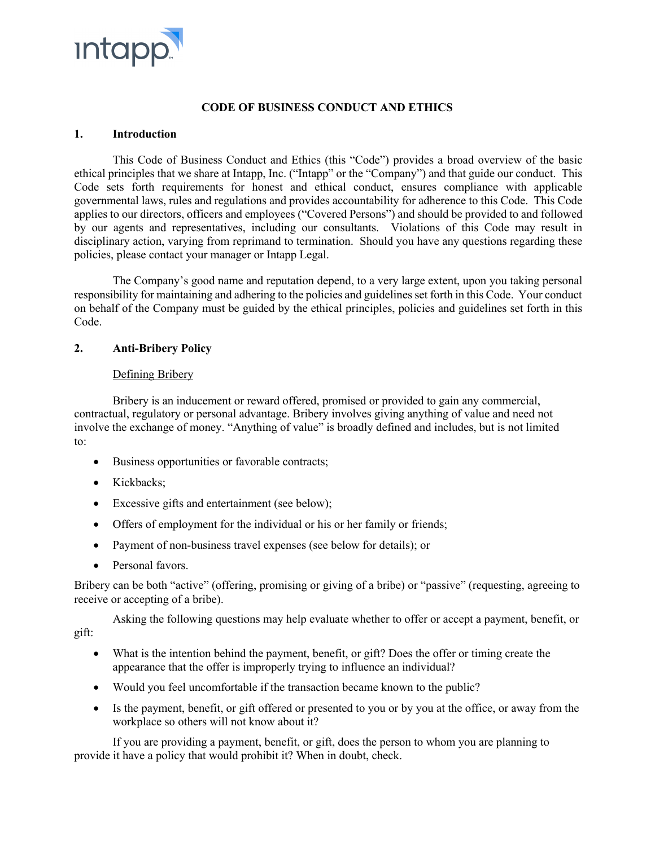

# **CODE OF BUSINESS CONDUCT AND ETHICS**

### **1. Introduction**

This Code of Business Conduct and Ethics (this "Code") provides a broad overview of the basic ethical principles that we share at Intapp, Inc. ("Intapp" or the "Company") and that guide our conduct. This Code sets forth requirements for honest and ethical conduct, ensures compliance with applicable governmental laws, rules and regulations and provides accountability for adherence to this Code. This Code applies to our directors, officers and employees ("Covered Persons") and should be provided to and followed by our agents and representatives, including our consultants. Violations of this Code may result in disciplinary action, varying from reprimand to termination. Should you have any questions regarding these policies, please contact your manager or Intapp Legal.

The Company's good name and reputation depend, to a very large extent, upon you taking personal responsibility for maintaining and adhering to the policies and guidelines set forth in this Code. Your conduct on behalf of the Company must be guided by the ethical principles, policies and guidelines set forth in this Code.

# **2. Anti-Bribery Policy**

# Defining Bribery

Bribery is an inducement or reward offered, promised or provided to gain any commercial, contractual, regulatory or personal advantage. Bribery involves giving anything of value and need not involve the exchange of money. "Anything of value" is broadly defined and includes, but is not limited to:

- Business opportunities or favorable contracts;
- Kickbacks:
- Excessive gifts and entertainment (see below);
- Offers of employment for the individual or his or her family or friends;
- Payment of non-business travel expenses (see below for details); or
- Personal favors.

Bribery can be both "active" (offering, promising or giving of a bribe) or "passive" (requesting, agreeing to receive or accepting of a bribe).

Asking the following questions may help evaluate whether to offer or accept a payment, benefit, or gift:

- What is the intention behind the payment, benefit, or gift? Does the offer or timing create the appearance that the offer is improperly trying to influence an individual?
- Would you feel uncomfortable if the transaction became known to the public?
- Is the payment, benefit, or gift offered or presented to you or by you at the office, or away from the workplace so others will not know about it?

If you are providing a payment, benefit, or gift, does the person to whom you are planning to provide it have a policy that would prohibit it? When in doubt, check.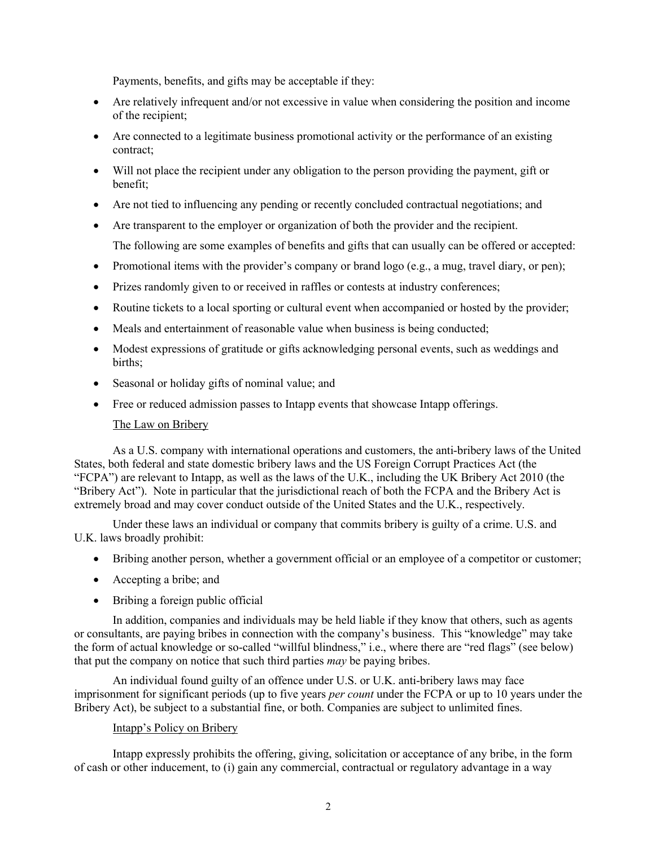Payments, benefits, and gifts may be acceptable if they:

- Are relatively infrequent and/or not excessive in value when considering the position and income of the recipient;
- Are connected to a legitimate business promotional activity or the performance of an existing contract;
- Will not place the recipient under any obligation to the person providing the payment, gift or benefit;
- Are not tied to influencing any pending or recently concluded contractual negotiations; and
- Are transparent to the employer or organization of both the provider and the recipient. The following are some examples of benefits and gifts that can usually can be offered or accepted:
- Promotional items with the provider's company or brand logo (e.g., a mug, travel diary, or pen);
- Prizes randomly given to or received in raffles or contests at industry conferences;
- Routine tickets to a local sporting or cultural event when accompanied or hosted by the provider;
- Meals and entertainment of reasonable value when business is being conducted;
- Modest expressions of gratitude or gifts acknowledging personal events, such as weddings and births;
- Seasonal or holiday gifts of nominal value; and
- Free or reduced admission passes to Intapp events that showcase Intapp offerings.

#### The Law on Bribery

As a U.S. company with international operations and customers, the anti-bribery laws of the United States, both federal and state domestic bribery laws and the US Foreign Corrupt Practices Act (the "FCPA") are relevant to Intapp, as well as the laws of the U.K., including the UK Bribery Act 2010 (the "Bribery Act"). Note in particular that the jurisdictional reach of both the FCPA and the Bribery Act is extremely broad and may cover conduct outside of the United States and the U.K., respectively.

Under these laws an individual or company that commits bribery is guilty of a crime. U.S. and U.K. laws broadly prohibit:

- Bribing another person, whether a government official or an employee of a competitor or customer;
- Accepting a bribe; and
- Bribing a foreign public official

In addition, companies and individuals may be held liable if they know that others, such as agents or consultants, are paying bribes in connection with the company's business. This "knowledge" may take the form of actual knowledge or so-called "willful blindness," i.e., where there are "red flags" (see below) that put the company on notice that such third parties *may* be paying bribes.

An individual found guilty of an offence under U.S. or U.K. anti-bribery laws may face imprisonment for significant periods (up to five years *per count* under the FCPA or up to 10 years under the Bribery Act), be subject to a substantial fine, or both. Companies are subject to unlimited fines.

#### Intapp's Policy on Bribery

Intapp expressly prohibits the offering, giving, solicitation or acceptance of any bribe, in the form of cash or other inducement, to (i) gain any commercial, contractual or regulatory advantage in a way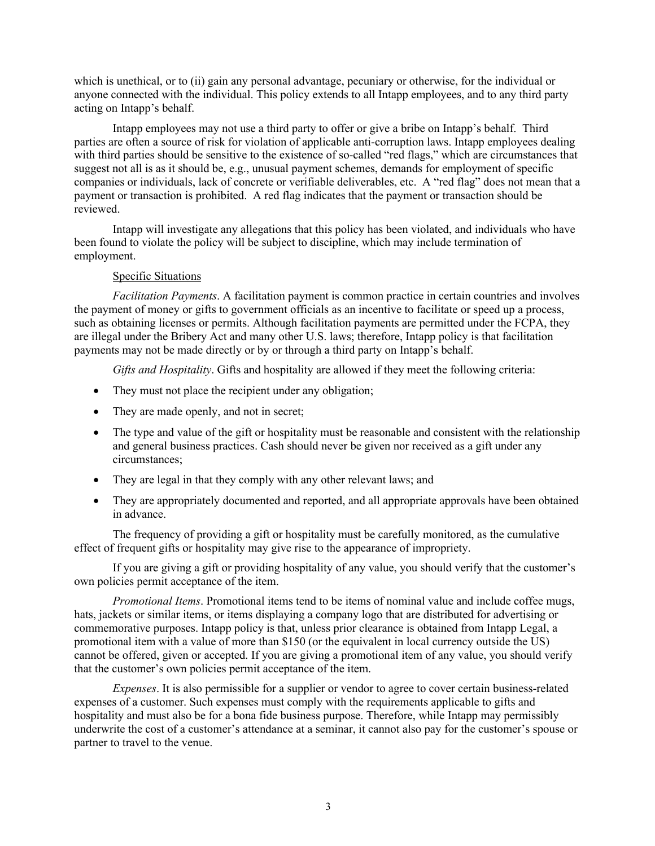which is unethical, or to (ii) gain any personal advantage, pecuniary or otherwise, for the individual or anyone connected with the individual. This policy extends to all Intapp employees, and to any third party acting on Intapp's behalf.

Intapp employees may not use a third party to offer or give a bribe on Intapp's behalf. Third parties are often a source of risk for violation of applicable anti-corruption laws. Intapp employees dealing with third parties should be sensitive to the existence of so-called "red flags," which are circumstances that suggest not all is as it should be, e.g., unusual payment schemes, demands for employment of specific companies or individuals, lack of concrete or verifiable deliverables, etc. A "red flag" does not mean that a payment or transaction is prohibited. A red flag indicates that the payment or transaction should be reviewed.

Intapp will investigate any allegations that this policy has been violated, and individuals who have been found to violate the policy will be subject to discipline, which may include termination of employment.

### Specific Situations

*Facilitation Payments*. A facilitation payment is common practice in certain countries and involves the payment of money or gifts to government officials as an incentive to facilitate or speed up a process, such as obtaining licenses or permits. Although facilitation payments are permitted under the FCPA, they are illegal under the Bribery Act and many other U.S. laws; therefore, Intapp policy is that facilitation payments may not be made directly or by or through a third party on Intapp's behalf.

*Gifts and Hospitality*. Gifts and hospitality are allowed if they meet the following criteria:

- They must not place the recipient under any obligation;
- They are made openly, and not in secret;
- The type and value of the gift or hospitality must be reasonable and consistent with the relationship and general business practices. Cash should never be given nor received as a gift under any circumstances;
- They are legal in that they comply with any other relevant laws; and
- They are appropriately documented and reported, and all appropriate approvals have been obtained in advance.

The frequency of providing a gift or hospitality must be carefully monitored, as the cumulative effect of frequent gifts or hospitality may give rise to the appearance of impropriety.

If you are giving a gift or providing hospitality of any value, you should verify that the customer's own policies permit acceptance of the item.

*Promotional Items*. Promotional items tend to be items of nominal value and include coffee mugs, hats, jackets or similar items, or items displaying a company logo that are distributed for advertising or commemorative purposes. Intapp policy is that, unless prior clearance is obtained from Intapp Legal, a promotional item with a value of more than \$150 (or the equivalent in local currency outside the US) cannot be offered, given or accepted. If you are giving a promotional item of any value, you should verify that the customer's own policies permit acceptance of the item.

*Expenses*. It is also permissible for a supplier or vendor to agree to cover certain business-related expenses of a customer. Such expenses must comply with the requirements applicable to gifts and hospitality and must also be for a bona fide business purpose. Therefore, while Intapp may permissibly underwrite the cost of a customer's attendance at a seminar, it cannot also pay for the customer's spouse or partner to travel to the venue.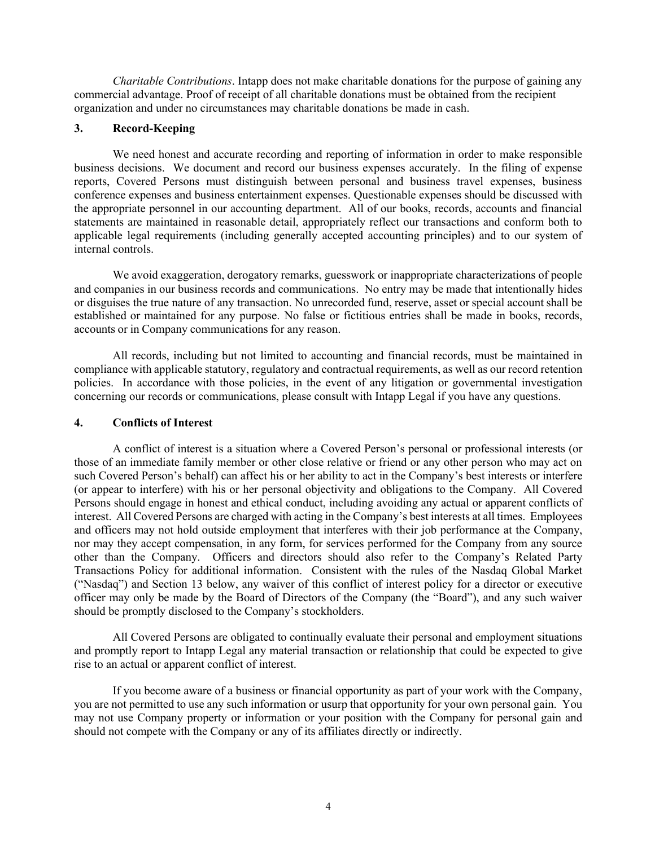*Charitable Contributions*. Intapp does not make charitable donations for the purpose of gaining any commercial advantage. Proof of receipt of all charitable donations must be obtained from the recipient organization and under no circumstances may charitable donations be made in cash.

# **3. Record-Keeping**

We need honest and accurate recording and reporting of information in order to make responsible business decisions. We document and record our business expenses accurately. In the filing of expense reports, Covered Persons must distinguish between personal and business travel expenses, business conference expenses and business entertainment expenses. Questionable expenses should be discussed with the appropriate personnel in our accounting department. All of our books, records, accounts and financial statements are maintained in reasonable detail, appropriately reflect our transactions and conform both to applicable legal requirements (including generally accepted accounting principles) and to our system of internal controls.

We avoid exaggeration, derogatory remarks, guesswork or inappropriate characterizations of people and companies in our business records and communications. No entry may be made that intentionally hides or disguises the true nature of any transaction. No unrecorded fund, reserve, asset or special account shall be established or maintained for any purpose. No false or fictitious entries shall be made in books, records, accounts or in Company communications for any reason.

All records, including but not limited to accounting and financial records, must be maintained in compliance with applicable statutory, regulatory and contractual requirements, as well as our record retention policies. In accordance with those policies, in the event of any litigation or governmental investigation concerning our records or communications, please consult with Intapp Legal if you have any questions.

### **4. Conflicts of Interest**

A conflict of interest is a situation where a Covered Person's personal or professional interests (or those of an immediate family member or other close relative or friend or any other person who may act on such Covered Person's behalf) can affect his or her ability to act in the Company's best interests or interfere (or appear to interfere) with his or her personal objectivity and obligations to the Company. All Covered Persons should engage in honest and ethical conduct, including avoiding any actual or apparent conflicts of interest. All Covered Persons are charged with acting in the Company's best interests at all times. Employees and officers may not hold outside employment that interferes with their job performance at the Company, nor may they accept compensation, in any form, for services performed for the Company from any source other than the Company. Officers and directors should also refer to the Company's Related Party Transactions Policy for additional information. Consistent with the rules of the Nasdaq Global Market ("Nasdaq") and Section 13 below, any waiver of this conflict of interest policy for a director or executive officer may only be made by the Board of Directors of the Company (the "Board"), and any such waiver should be promptly disclosed to the Company's stockholders.

All Covered Persons are obligated to continually evaluate their personal and employment situations and promptly report to Intapp Legal any material transaction or relationship that could be expected to give rise to an actual or apparent conflict of interest.

If you become aware of a business or financial opportunity as part of your work with the Company, you are not permitted to use any such information or usurp that opportunity for your own personal gain. You may not use Company property or information or your position with the Company for personal gain and should not compete with the Company or any of its affiliates directly or indirectly.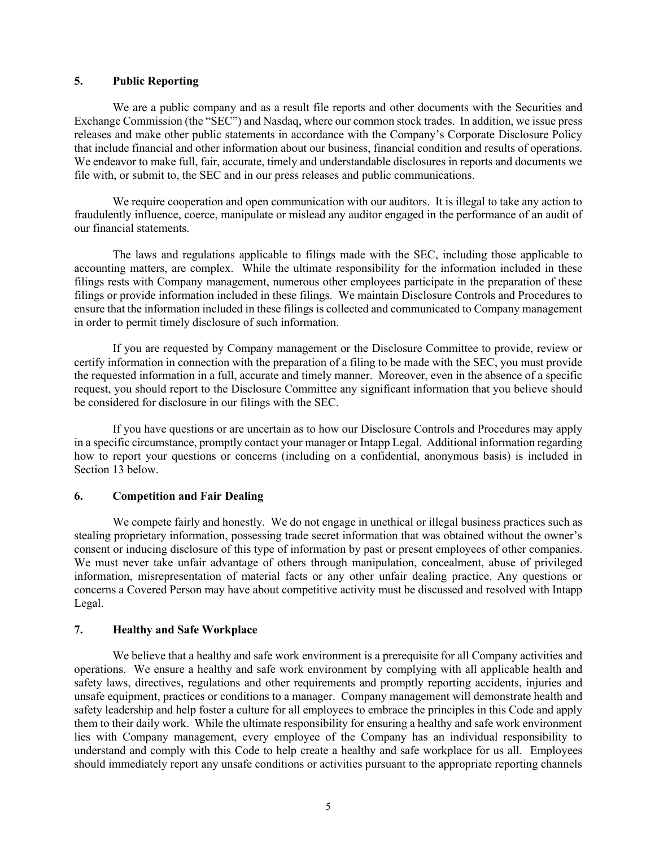### **5. Public Reporting**

We are a public company and as a result file reports and other documents with the Securities and Exchange Commission (the "SEC") and Nasdaq, where our common stock trades. In addition, we issue press releases and make other public statements in accordance with the Company's Corporate Disclosure Policy that include financial and other information about our business, financial condition and results of operations. We endeavor to make full, fair, accurate, timely and understandable disclosures in reports and documents we file with, or submit to, the SEC and in our press releases and public communications.

We require cooperation and open communication with our auditors. It is illegal to take any action to fraudulently influence, coerce, manipulate or mislead any auditor engaged in the performance of an audit of our financial statements.

The laws and regulations applicable to filings made with the SEC, including those applicable to accounting matters, are complex. While the ultimate responsibility for the information included in these filings rests with Company management, numerous other employees participate in the preparation of these filings or provide information included in these filings. We maintain Disclosure Controls and Procedures to ensure that the information included in these filings is collected and communicated to Company management in order to permit timely disclosure of such information.

If you are requested by Company management or the Disclosure Committee to provide, review or certify information in connection with the preparation of a filing to be made with the SEC, you must provide the requested information in a full, accurate and timely manner. Moreover, even in the absence of a specific request, you should report to the Disclosure Committee any significant information that you believe should be considered for disclosure in our filings with the SEC.

If you have questions or are uncertain as to how our Disclosure Controls and Procedures may apply in a specific circumstance, promptly contact your manager or Intapp Legal. Additional information regarding how to report your questions or concerns (including on a confidential, anonymous basis) is included in Section 13 below.

### **6. Competition and Fair Dealing**

We compete fairly and honestly. We do not engage in unethical or illegal business practices such as stealing proprietary information, possessing trade secret information that was obtained without the owner's consent or inducing disclosure of this type of information by past or present employees of other companies. We must never take unfair advantage of others through manipulation, concealment, abuse of privileged information, misrepresentation of material facts or any other unfair dealing practice. Any questions or concerns a Covered Person may have about competitive activity must be discussed and resolved with Intapp Legal.

# **7. Healthy and Safe Workplace**

We believe that a healthy and safe work environment is a prerequisite for all Company activities and operations. We ensure a healthy and safe work environment by complying with all applicable health and safety laws, directives, regulations and other requirements and promptly reporting accidents, injuries and unsafe equipment, practices or conditions to a manager. Company management will demonstrate health and safety leadership and help foster a culture for all employees to embrace the principles in this Code and apply them to their daily work. While the ultimate responsibility for ensuring a healthy and safe work environment lies with Company management, every employee of the Company has an individual responsibility to understand and comply with this Code to help create a healthy and safe workplace for us all. Employees should immediately report any unsafe conditions or activities pursuant to the appropriate reporting channels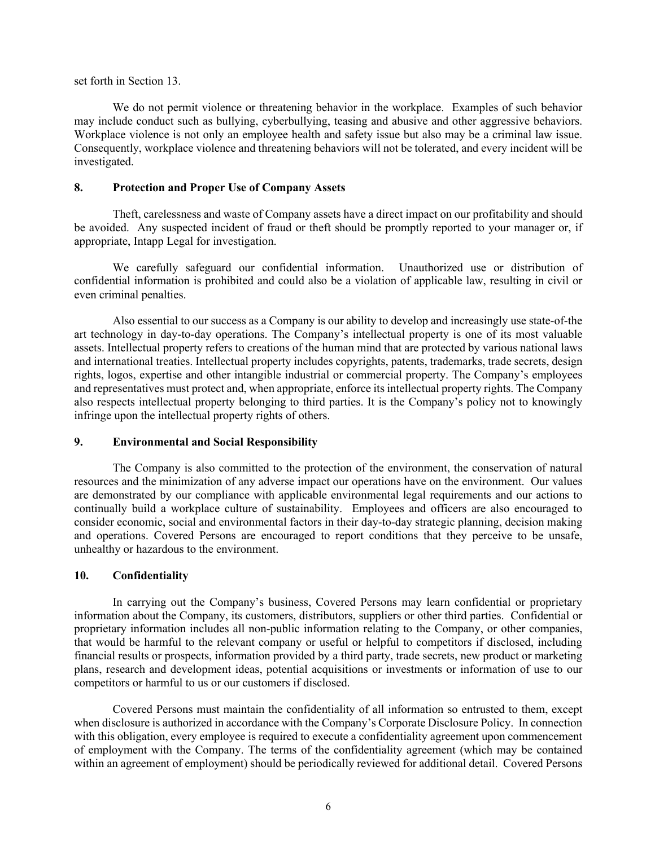set forth in Section 13.

We do not permit violence or threatening behavior in the workplace. Examples of such behavior may include conduct such as bullying, cyberbullying, teasing and abusive and other aggressive behaviors. Workplace violence is not only an employee health and safety issue but also may be a criminal law issue. Consequently, workplace violence and threatening behaviors will not be tolerated, and every incident will be investigated.

### **8. Protection and Proper Use of Company Assets**

Theft, carelessness and waste of Company assets have a direct impact on our profitability and should be avoided. Any suspected incident of fraud or theft should be promptly reported to your manager or, if appropriate, Intapp Legal for investigation.

We carefully safeguard our confidential information. Unauthorized use or distribution of confidential information is prohibited and could also be a violation of applicable law, resulting in civil or even criminal penalties.

Also essential to our success as a Company is our ability to develop and increasingly use state-of-the art technology in day-to-day operations. The Company's intellectual property is one of its most valuable assets. Intellectual property refers to creations of the human mind that are protected by various national laws and international treaties. Intellectual property includes copyrights, patents, trademarks, trade secrets, design rights, logos, expertise and other intangible industrial or commercial property. The Company's employees and representatives must protect and, when appropriate, enforce its intellectual property rights. The Company also respects intellectual property belonging to third parties. It is the Company's policy not to knowingly infringe upon the intellectual property rights of others.

### **9. Environmental and Social Responsibility**

The Company is also committed to the protection of the environment, the conservation of natural resources and the minimization of any adverse impact our operations have on the environment. Our values are demonstrated by our compliance with applicable environmental legal requirements and our actions to continually build a workplace culture of sustainability. Employees and officers are also encouraged to consider economic, social and environmental factors in their day-to-day strategic planning, decision making and operations. Covered Persons are encouraged to report conditions that they perceive to be unsafe, unhealthy or hazardous to the environment.

#### **10. Confidentiality**

In carrying out the Company's business, Covered Persons may learn confidential or proprietary information about the Company, its customers, distributors, suppliers or other third parties. Confidential or proprietary information includes all non-public information relating to the Company, or other companies, that would be harmful to the relevant company or useful or helpful to competitors if disclosed, including financial results or prospects, information provided by a third party, trade secrets, new product or marketing plans, research and development ideas, potential acquisitions or investments or information of use to our competitors or harmful to us or our customers if disclosed.

Covered Persons must maintain the confidentiality of all information so entrusted to them, except when disclosure is authorized in accordance with the Company's Corporate Disclosure Policy. In connection with this obligation, every employee is required to execute a confidentiality agreement upon commencement of employment with the Company. The terms of the confidentiality agreement (which may be contained within an agreement of employment) should be periodically reviewed for additional detail. Covered Persons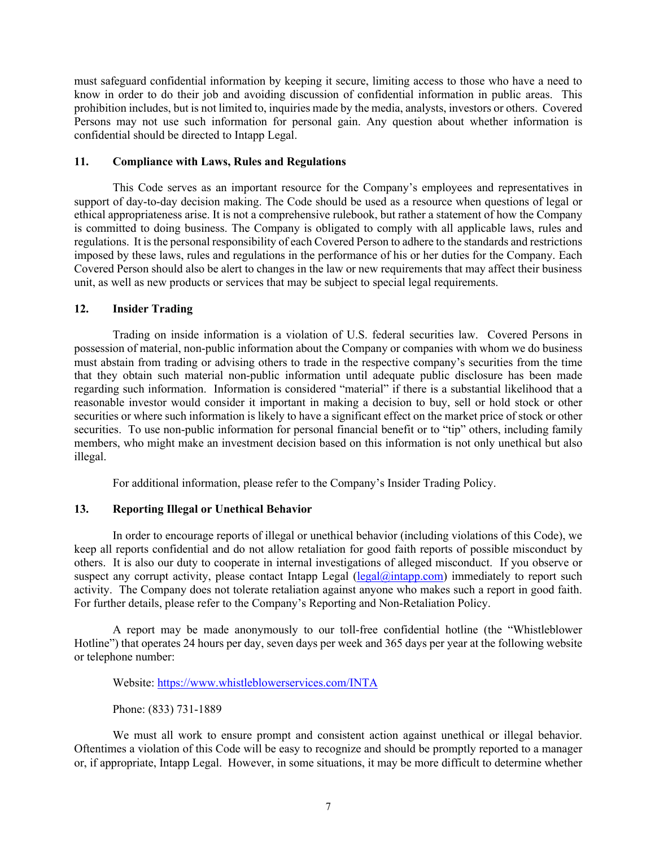must safeguard confidential information by keeping it secure, limiting access to those who have a need to know in order to do their job and avoiding discussion of confidential information in public areas. This prohibition includes, but is not limited to, inquiries made by the media, analysts, investors or others. Covered Persons may not use such information for personal gain. Any question about whether information is confidential should be directed to Intapp Legal.

### **11. Compliance with Laws, Rules and Regulations**

This Code serves as an important resource for the Company's employees and representatives in support of day-to-day decision making. The Code should be used as a resource when questions of legal or ethical appropriateness arise. It is not a comprehensive rulebook, but rather a statement of how the Company is committed to doing business. The Company is obligated to comply with all applicable laws, rules and regulations. It is the personal responsibility of each Covered Person to adhere to the standards and restrictions imposed by these laws, rules and regulations in the performance of his or her duties for the Company. Each Covered Person should also be alert to changes in the law or new requirements that may affect their business unit, as well as new products or services that may be subject to special legal requirements.

# **12. Insider Trading**

Trading on inside information is a violation of U.S. federal securities law. Covered Persons in possession of material, non-public information about the Company or companies with whom we do business must abstain from trading or advising others to trade in the respective company's securities from the time that they obtain such material non-public information until adequate public disclosure has been made regarding such information. Information is considered "material" if there is a substantial likelihood that a reasonable investor would consider it important in making a decision to buy, sell or hold stock or other securities or where such information is likely to have a significant effect on the market price of stock or other securities. To use non-public information for personal financial benefit or to "tip" others, including family members, who might make an investment decision based on this information is not only unethical but also illegal.

For additional information, please refer to the Company's Insider Trading Policy.

# **13. Reporting Illegal or Unethical Behavior**

In order to encourage reports of illegal or unethical behavior (including violations of this Code), we keep all reports confidential and do not allow retaliation for good faith reports of possible misconduct by others. It is also our duty to cooperate in internal investigations of alleged misconduct. If you observe or suspect any corrupt activity, please contact Intapp Legal (legal@intapp.com) immediately to report such activity. The Company does not tolerate retaliation against anyone who makes such a report in good faith. For further details, please refer to the Company's Reporting and Non-Retaliation Policy.

A report may be made anonymously to our toll-free confidential hotline (the "Whistleblower Hotline") that operates 24 hours per day, seven days per week and 365 days per year at the following website or telephone number:

Website: https://www.whistleblowerservices.com/INTA

Phone: (833) 731-1889

We must all work to ensure prompt and consistent action against unethical or illegal behavior. Oftentimes a violation of this Code will be easy to recognize and should be promptly reported to a manager or, if appropriate, Intapp Legal. However, in some situations, it may be more difficult to determine whether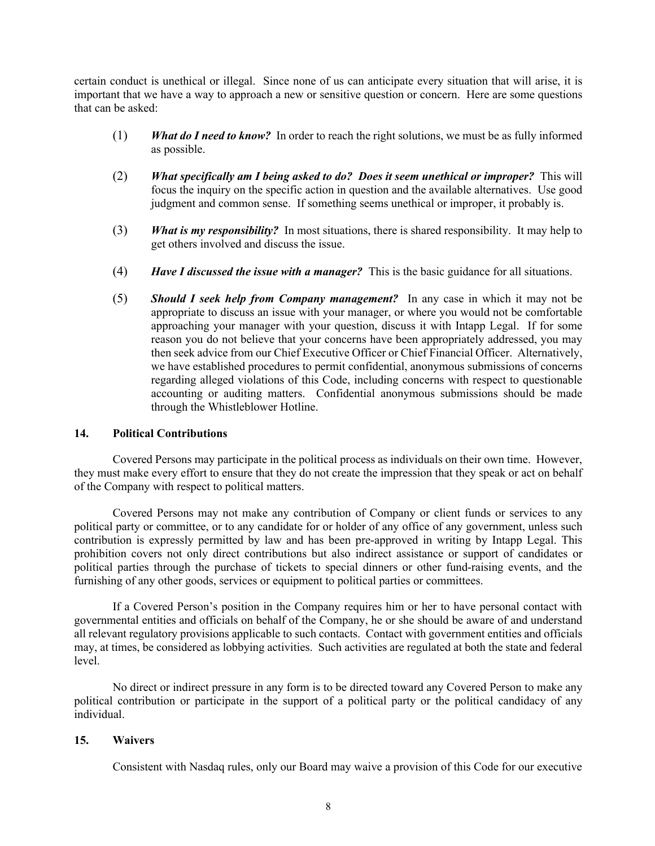certain conduct is unethical or illegal. Since none of us can anticipate every situation that will arise, it is important that we have a way to approach a new or sensitive question or concern. Here are some questions that can be asked:

- (1) *What do I need to know?* In order to reach the right solutions, we must be as fully informed as possible.
- (2) *What specifically am I being asked to do? Does it seem unethical or improper?* This will focus the inquiry on the specific action in question and the available alternatives. Use good judgment and common sense. If something seems unethical or improper, it probably is.
- (3) *What is my responsibility?* In most situations, there is shared responsibility. It may help to get others involved and discuss the issue.
- (4) *Have I discussed the issue with a manager?* This is the basic guidance for all situations.
- (5) *Should I seek help from Company management?* In any case in which it may not be appropriate to discuss an issue with your manager, or where you would not be comfortable approaching your manager with your question, discuss it with Intapp Legal. If for some reason you do not believe that your concerns have been appropriately addressed, you may then seek advice from our Chief Executive Officer or Chief Financial Officer. Alternatively, we have established procedures to permit confidential, anonymous submissions of concerns regarding alleged violations of this Code, including concerns with respect to questionable accounting or auditing matters. Confidential anonymous submissions should be made through the Whistleblower Hotline.

#### **14. Political Contributions**

Covered Persons may participate in the political process as individuals on their own time. However, they must make every effort to ensure that they do not create the impression that they speak or act on behalf of the Company with respect to political matters.

Covered Persons may not make any contribution of Company or client funds or services to any political party or committee, or to any candidate for or holder of any office of any government, unless such contribution is expressly permitted by law and has been pre-approved in writing by Intapp Legal. This prohibition covers not only direct contributions but also indirect assistance or support of candidates or political parties through the purchase of tickets to special dinners or other fund-raising events, and the furnishing of any other goods, services or equipment to political parties or committees.

If a Covered Person's position in the Company requires him or her to have personal contact with governmental entities and officials on behalf of the Company, he or she should be aware of and understand all relevant regulatory provisions applicable to such contacts. Contact with government entities and officials may, at times, be considered as lobbying activities. Such activities are regulated at both the state and federal level.

No direct or indirect pressure in any form is to be directed toward any Covered Person to make any political contribution or participate in the support of a political party or the political candidacy of any individual.

# **15. Waivers**

Consistent with Nasdaq rules, only our Board may waive a provision of this Code for our executive